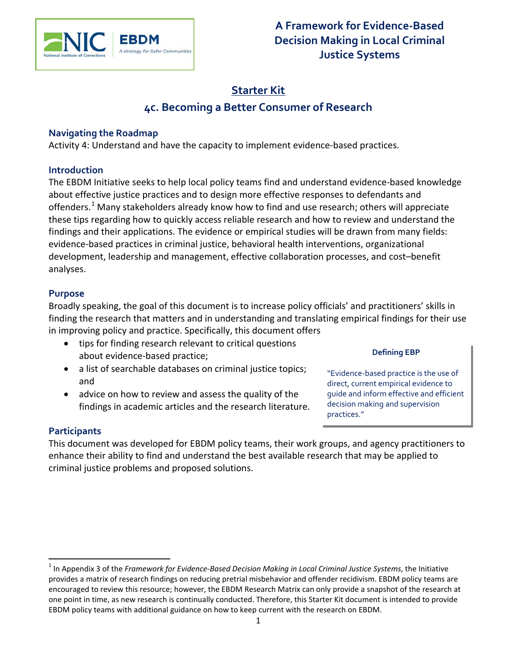

# **Starter Kit 4c. Becoming a Better Consumer of Research**

## **Navigating the Roadmap**

Activity 4: Understand and have the capacity to implement evidence-based practices.

## **Introduction**

The EBDM Initiative seeks to help local policy teams find and understand evidence-based knowledge about effective justice practices and to design more effective responses to defendants and offenders.<sup>[1](#page-0-0)</sup> Many stakeholders already know how to find and use research; others will appreciate these tips regarding how to quickly access reliable research and how to review and understand the findings and their applications. The evidence or empirical studies will be drawn from many fields: evidence-based practices in criminal justice, behavioral health interventions, organizational development, leadership and management, effective collaboration processes, and cost–benefit analyses.

# **Purpose**

Broadly speaking, the goal of this document is to increase policy officials' and practitioners' skills in finding the research that matters and in understanding and translating empirical findings for their use in improving policy and practice. Specifically, this document offers

- tips for finding research relevant to critical questions about evidence-based practice;
- a list of searchable databases on criminal justice topics; and
- advice on how to review and assess the quality of the findings in academic articles and the research literature.

### **Defining EBP**

"Evidence-based practice is the use of direct, current empirical evidence to guide and inform effective and efficient decision making and supervision practices."

# **Participants**

 $\overline{a}$ 

This document was developed for EBDM policy teams, their work groups, and agency practitioners to enhance their ability to find and understand the best available research that may be applied to criminal justice problems and proposed solutions.

<span id="page-0-1"></span><span id="page-0-0"></span><sup>1</sup> In Appendix 3 of the *Framework for Evidence-Based Decision Making in Local Criminal Justice Systems*, the Initiative provides a matrix of research findings on reducing pretrial misbehavior and offender recidivism. EBDM policy teams are encouraged to review this resource; however, the EBDM Research Matrix can only provide a snapshot of the research at one point in time, as new research is continually conducted. Therefore, this Starter Kit document is intended to provide EBDM policy teams with additional guidance on how to keep current with the research on EBDM.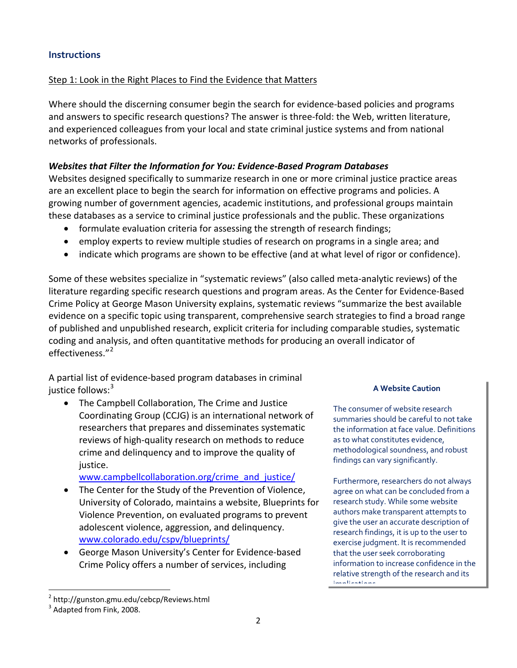# Step 1: Look in the Right Places to Find the Evidence that Matters

Where should the discerning consumer begin the search for evidence-based policies and programs and answers to specific research questions? The answer is three-fold: the Web, written literature, and experienced colleagues from your local and state criminal justice systems and from national networks of professionals.

### *Websites that Filter the Information for You: Evidence-Based Program Databases*

Websites designed specifically to summarize research in one or more criminal justice practice areas are an excellent place to begin the search for information on effective programs and policies. A growing number of government agencies, academic institutions, and professional groups maintain these databases as a service to criminal justice professionals and the public. These organizations

- formulate evaluation criteria for assessing the strength of research findings;
- employ experts to review multiple studies of research on programs in a single area; and
- indicate which programs are shown to be effective (and at what level of rigor or confidence).

Some of these websites specialize in "systematic reviews" (also called meta-analytic reviews) of the literature regarding specific research questions and program areas. As the Center for Evidence-Based Crime Policy at George Mason University explains, systematic reviews "summarize the best available evidence on a specific topic using transparent, comprehensive search strategies to find a broad range of published and unpublished research, explicit criteria for including comparable studies, systematic coding and analysis, and often quantitative methods for producing an overall indicator of effectiveness."<sup>[2](#page-0-1)</sup>

A partial list of evidence-based program databases in criminal justice follows:<sup>[3](#page-1-0)</sup>

• The Campbell Collaboration, The Crime and Justice Coordinating Group (CCJG) is an international network of researchers that prepares and disseminates systematic reviews of high-quality research on methods to reduce crime and delinquency and to improve the quality of justice.

[www.campbellcollaboration.org/crime\\_and\\_justice/](http://www.campbellcollaboration.org/crime_and_justice/)

- The Center for the Study of the Prevention of Violence, University of Colorado, maintains a website, Blueprints for Violence Prevention, on evaluated programs to prevent adolescent violence, aggression, and delinquency. [www.colorado.edu/cspv/blueprints/](http://www.colorado.edu/cspv/blueprints/)
- George Mason University's Center for Evidence-based Crime Policy offers a number of services, including

#### **A Website Caution**

The consumer of website research summaries should be careful to not take the information at face value. Definitions as to what constitutes evidence, methodological soundness, and robust findings can vary significantly.

Furthermore, researchers do not always agree on what can be concluded from a research study. While some website authors make transparent attempts to give the user an accurate description of research findings, it is up to the user to exercise judgment. It is recommended that the user seek corroborating information to increase confidence in the relative strength of the research and its implications

<span id="page-1-1"></span> <sup>2</sup> http://gunston.gmu.edu/cebcp/Reviews.html

<span id="page-1-0"></span><sup>&</sup>lt;sup>3</sup> Adapted from Fink, 2008.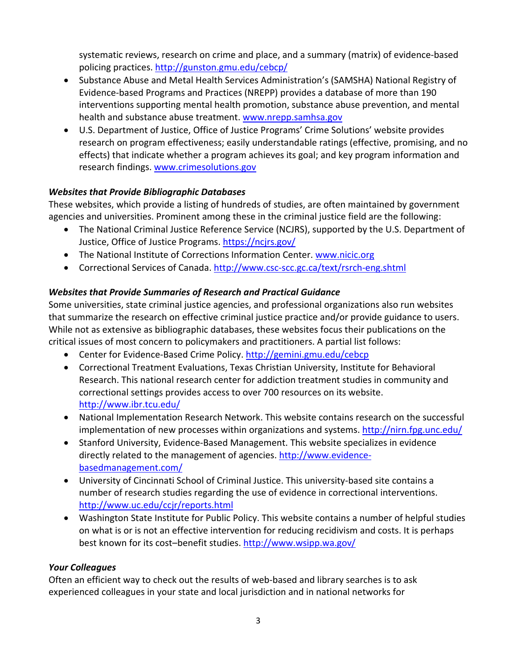systematic reviews, research on crime and place, and a summary (matrix) of evidence-based policing practices.<http://gunston.gmu.edu/cebcp/>

- Substance Abuse and Metal Health Services Administration's (SAMSHA) National Registry of Evidence-based Programs and Practices (NREPP) provides a database of [more than 190](http://nrepp.samhsa.gov/ViewAll.aspx)  [interventions](http://nrepp.samhsa.gov/ViewAll.aspx) supporting mental health promotion, substance abuse prevention, and mental health and substance abuse treatment. [www.nrepp.samhsa.gov](http://www.nrepp.samhsa.gov/)
- U.S. Department of Justice, Office of Justice Programs' Crime Solutions' website provides research on program effectiveness; easily understandable ratings (effective, promising, and no effects) that indicate whether a program achieves its goal; and key program information and research findings. [www.crimesolutions.gov](http://www.crimesolutions.gov/)

# *Websites that Provide Bibliographic Databases*

These websites, which provide a listing of hundreds of studies, are often maintained by government agencies and universities. Prominent among these in the criminal justice field are the following:

- The National Criminal Justice Reference Service (NCJRS), supported by the U.S. Department of Justice, Office of Justice Programs.<https://ncjrs.gov/>
- The National Institute of Corrections Information Center. [www.nicic.org](http://www.nicic.org/)
- Correctional Services of Canada.<http://www.csc-scc.gc.ca/text/rsrch-eng.shtml>

# *Websites that Provide Summaries of Research and Practical Guidance*

Some universities, state criminal justice agencies, and professional organizations also run websites that summarize the research on effective criminal justice practice and/or provide guidance to users. While not as extensive as bibliographic databases, these websites focus their publications on the critical issues of most concern to policymakers and practitioners. A partial list follows:

- Center for Evidence-Based Crime Policy.<http://gemini.gmu.edu/cebcp>
- Correctional Treatment Evaluations, Texas Christian University, Institute for Behavioral Research. This national research center for addiction treatment studies in community and correctional settings provides access to over 700 resources on its website. <http://www.ibr.tcu.edu/>
- National Implementation Research Network. This website contains research on the successful implementation of new processes within organizations and systems.<http://nirn.fpg.unc.edu/>
- Stanford University, Evidence-Based Management. This website specializes in evidence directly related to the management of agencies[. http://www.evidence](http://www.evidence-basedmanagement.com/)[basedmanagement.com/](http://www.evidence-basedmanagement.com/)
- University of Cincinnati School of Criminal Justice. This university-based site contains a number of research studies regarding the use of evidence in correctional interventions. <http://www.uc.edu/ccjr/reports.html>
- Washington State Institute for Public Policy. This website contains a number of helpful studies on what is or is not an effective intervention for reducing recidivism and costs. It is perhaps best known for its cost-benefit studies.<http://www.wsipp.wa.gov/>

### *Your Colleagues*

Often an efficient way to check out the results of web-based and library searches is to ask experienced colleagues in your state and local jurisdiction and in national networks for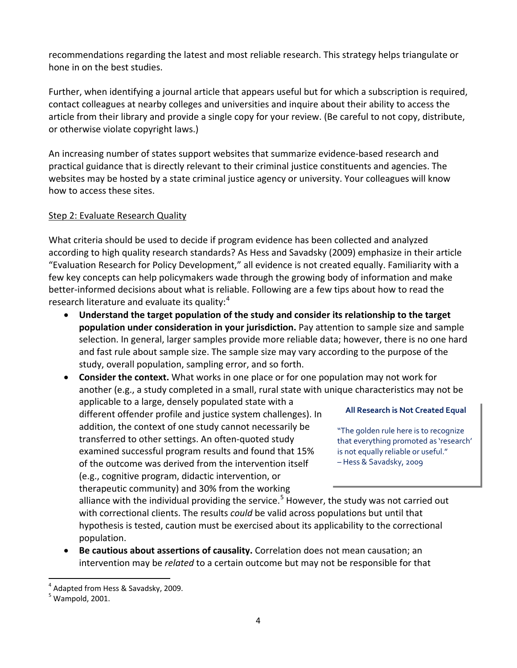recommendations regarding the latest and most reliable research. This strategy helps triangulate or hone in on the best studies.

Further, when identifying a journal article that appears useful but for which a subscription is required, contact colleagues at nearby colleges and universities and inquire about their ability to access the article from their library and provide a single copy for your review. (Be careful to not copy, distribute, or otherwise violate copyright laws.)

An increasing number of states support websites that summarize evidence-based research and practical guidance that is directly relevant to their criminal justice constituents and agencies. The websites may be hosted by a state criminal justice agency or university. Your colleagues will know how to access these sites.

### Step 2: Evaluate Research Quality

What criteria should be used to decide if program evidence has been collected and analyzed according to high quality research standards? As Hess and Savadsky (2009) emphasize in their article "Evaluation Research for Policy Development," all evidence is not created equally. Familiarity with a few key concepts can help policymakers wade through the growing body of information and make better-informed decisions about what is reliable. Following are a few tips about how to read the research literature and evaluate its quality:<sup>[4](#page-1-1)</sup>

• **Understand the target population of the study and consider its relationship to the target population under consideration in your jurisdiction.** Pay attention to sample size and sample selection. In general, larger samples provide more reliable data; however, there is no one hard and fast rule about sample size. The sample size may vary according to the purpose of the study, overall population, sampling error, and so forth.

• **Consider the context.** What works in one place or for one population may not work for another (e.g., a study completed in a small, rural state with unique characteristics may not be applicable to a large, densely populated state with a

different offender profile and justice system challenges). In addition, the context of one study cannot necessarily be transferred to other settings. An often-quoted study examined successful program results and found that 15% of the outcome was derived from the intervention itself (e.g., cognitive program, didactic intervention, or therapeutic community) and 30% from the working

#### **All Research is Not Created Equal**

"The golden rule here is to recognize that everything promoted as 'research' is not equally reliable or useful." – Hess & Savadsky, 2009

alliance with the individual providing the service.<sup>[5](#page-3-0)</sup> However, the study was not carried out with correctional clients. The results *could* be valid across populations but until that hypothesis is tested, caution must be exercised about its applicability to the correctional population.

• **Be cautious about assertions of causality.** Correlation does not mean causation; an intervention may be *related* to a certain outcome but may not be responsible for that

 $4$  Adapted from Hess & Savadsky, 2009.

<span id="page-3-1"></span><span id="page-3-0"></span> $<sup>5</sup>$  Wampold, 2001.</sup>